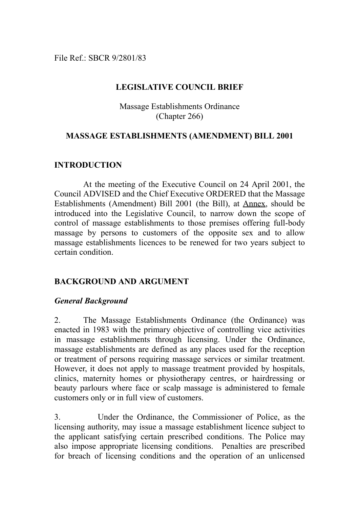File Ref.: SBCR 9/2801/83

## **LEGISLATIVE COUNCIL BRIEF**

Massage Establishments Ordinance (Chapter 266)

### **MASSAGE ESTABLISHMENTS (AMENDMENT) BILL 2001**

## **INTRODUCTION**

At the meeting of the Executive Council on 24 April 2001, the Council ADVISED and the Chief Executive ORDERED that the Massage Establishments (Amendment) Bill 2001 (the Bill), at Annex, should be introduced into the Legislative Council, to narrow down the scope of control of massage establishments to those premises offering full-body massage by persons to customers of the opposite sex and to allow massage establishments licences to be renewed for two years subject to certain condition.

## **BACKGROUND AND ARGUMENT**

## *General Background*

2. The Massage Establishments Ordinance (the Ordinance) was enacted in 1983 with the primary objective of controlling vice activities in massage establishments through licensing. Under the Ordinance, massage establishments are defined as any places used for the reception or treatment of persons requiring massage services or similar treatment. However, it does not apply to massage treatment provided by hospitals, clinics, maternity homes or physiotherapy centres, or hairdressing or beauty parlours where face or scalp massage is administered to female customers only or in full view of customers.

3. Under the Ordinance, the Commissioner of Police, as the licensing authority, may issue a massage establishment licence subject to the applicant satisfying certain prescribed conditions. The Police may also impose appropriate licensing conditions. Penalties are prescribed for breach of licensing conditions and the operation of an unlicensed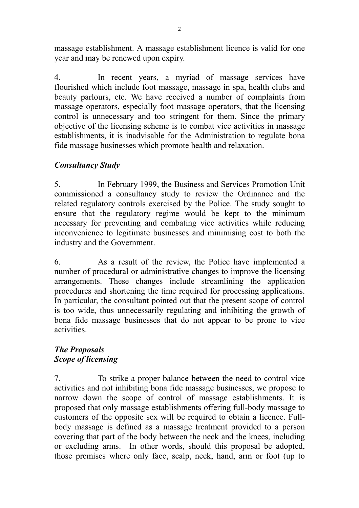massage establishment. A massage establishment licence is valid for one year and may be renewed upon expiry.

4. In recent years, a myriad of massage services have flourished which include foot massage, massage in spa, health clubs and beauty parlours, etc. We have received a number of complaints from massage operators, especially foot massage operators, that the licensing control is unnecessary and too stringent for them. Since the primary objective of the licensing scheme is to combat vice activities in massage establishments, it is inadvisable for the Administration to regulate bona fide massage businesses which promote health and relaxation.

## *Consultancy Study*

5. In February 1999, the Business and Services Promotion Unit commissioned a consultancy study to review the Ordinance and the related regulatory controls exercised by the Police. The study sought to ensure that the regulatory regime would be kept to the minimum necessary for preventing and combating vice activities while reducing inconvenience to legitimate businesses and minimising cost to both the industry and the Government.

6. As a result of the review, the Police have implemented a number of procedural or administrative changes to improve the licensing arrangements. These changes include streamlining the application procedures and shortening the time required for processing applications. In particular, the consultant pointed out that the present scope of control is too wide, thus unnecessarily regulating and inhibiting the growth of bona fide massage businesses that do not appear to be prone to vice activities.

## *The Proposals Scope of licensing*

7. To strike a proper balance between the need to control vice activities and not inhibiting bona fide massage businesses, we propose to narrow down the scope of control of massage establishments. It is proposed that only massage establishments offering full-body massage to customers of the opposite sex will be required to obtain a licence. Fullbody massage is defined as a massage treatment provided to a person covering that part of the body between the neck and the knees, including or excluding arms. In other words, should this proposal be adopted, those premises where only face, scalp, neck, hand, arm or foot (up to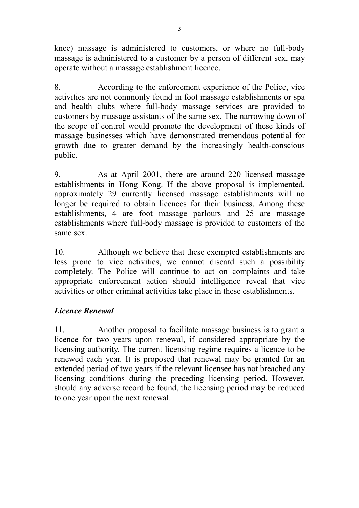knee) massage is administered to customers, or where no full-body massage is administered to a customer by a person of different sex, may operate without a massage establishment licence.

8. According to the enforcement experience of the Police, vice activities are not commonly found in foot massage establishments or spa and health clubs where full-body massage services are provided to customers by massage assistants of the same sex. The narrowing down of the scope of control would promote the development of these kinds of massage businesses which have demonstrated tremendous potential for growth due to greater demand by the increasingly health-conscious public.

9. As at April 2001, there are around 220 licensed massage establishments in Hong Kong. If the above proposal is implemented, approximately 29 currently licensed massage establishments will no longer be required to obtain licences for their business. Among these establishments, 4 are foot massage parlours and 25 are massage establishments where full-body massage is provided to customers of the same sex.

10. Although we believe that these exempted establishments are less prone to vice activities, we cannot discard such a possibility completely. The Police will continue to act on complaints and take appropriate enforcement action should intelligence reveal that vice activities or other criminal activities take place in these establishments.

## *Licence Renewal*

11. Another proposal to facilitate massage business is to grant a licence for two years upon renewal, if considered appropriate by the licensing authority. The current licensing regime requires a licence to be renewed each year. It is proposed that renewal may be granted for an extended period of two years if the relevant licensee has not breached any licensing conditions during the preceding licensing period. However, should any adverse record be found, the licensing period may be reduced to one year upon the next renewal.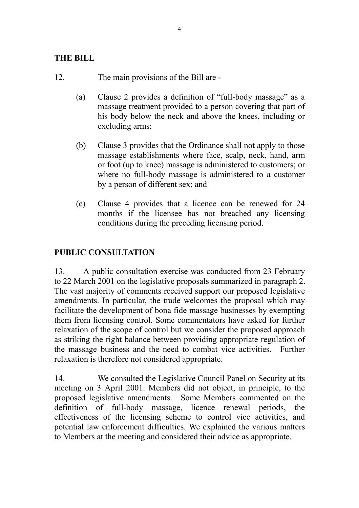## **THE BILL**

- 12. The main provisions of the Bill are
	- (a) Clause 2 provides a definition of "full-body massage" as a massage treatment provided to a person covering that part of his body below the neck and above the knees, including or excluding arms;
	- (b) Clause 3 provides that the Ordinance shall not apply to those massage establishments where face, scalp, neck, hand, arm or foot (up to knee) massage is administered to customers; or where no full-body massage is administered to a customer by a person of different sex; and
	- (c) Clause 4 provides that a licence can be renewed for 24 months if the licensee has not breached any licensing conditions during the preceding licensing period.

## **PUBLIC CONSULTATION**

13. A public consultation exercise was conducted from 23 February to 22 March 2001 on the legislative proposals summarized in paragraph 2. The vast majority of comments received support our proposed legislative amendments. In particular, the trade welcomes the proposal which may facilitate the development of bona fide massage businesses by exempting them from licensing control. Some commentators have asked for further relaxation of the scope of control but we consider the proposed approach as striking the right balance between providing appropriate regulation of the massage business and the need to combat vice activities. Further relaxation is therefore not considered appropriate.

14. We consulted the Legislative Council Panel on Security at its meeting on 3 April 2001. Members did not object, in principle, to the proposed legislative amendments. Some Members commented on the definition of full-body massage, licence renewal periods, the effectiveness of the licensing scheme to control vice activities, and potential law enforcement difficulties. We explained the various matters to Members at the meeting and considered their advice as appropriate.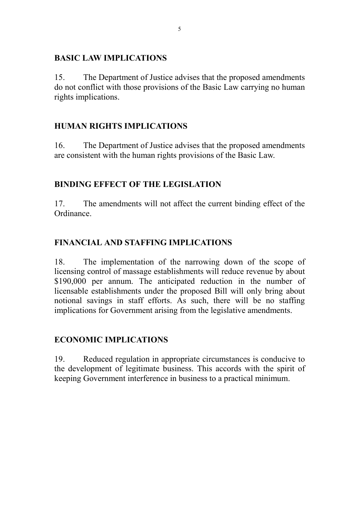## **BASIC LAW IMPLICATIONS**

15. The Department of Justice advises that the proposed amendments do not conflict with those provisions of the Basic Law carrying no human rights implications.

## **HUMAN RIGHTS IMPLICATIONS**

16. The Department of Justice advises that the proposed amendments are consistent with the human rights provisions of the Basic Law.

## **BINDING EFFECT OF THE LEGISLATION**

17. The amendments will not affect the current binding effect of the Ordinance.

# **FINANCIAL AND STAFFING IMPLICATIONS**

18. The implementation of the narrowing down of the scope of licensing control of massage establishments will reduce revenue by about \$190,000 per annum. The anticipated reduction in the number of licensable establishments under the proposed Bill will only bring about notional savings in staff efforts. As such, there will be no staffing implications for Government arising from the legislative amendments.

## **ECONOMIC IMPLICATIONS**

19. Reduced regulation in appropriate circumstances is conducive to the development of legitimate business. This accords with the spirit of keeping Government interference in business to a practical minimum.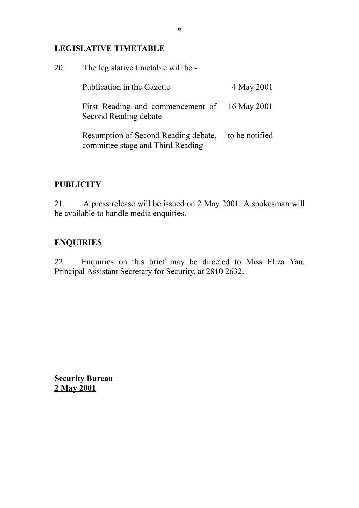## **LEGISLATIVE TIMETABLE**

| 20. | The legislative timetable will be -                                       |                |
|-----|---------------------------------------------------------------------------|----------------|
|     | Publication in the Gazette                                                | 4 May 2001     |
|     | First Reading and commencement of 16 May 2001<br>Second Reading debate    |                |
|     | Resumption of Second Reading debate,<br>committee stage and Third Reading | to be notified |

## **PUBLICITY**

21. A press release will be issued on 2 May 2001. A spokesman will be available to handle media enquiries.

# **ENQUIRIES**

22. Enquiries on this brief may be directed to Miss Eliza Yau, Principal Assistant Secretary for Security, at 2810 2632.

**Security Bureau 2 May 2001**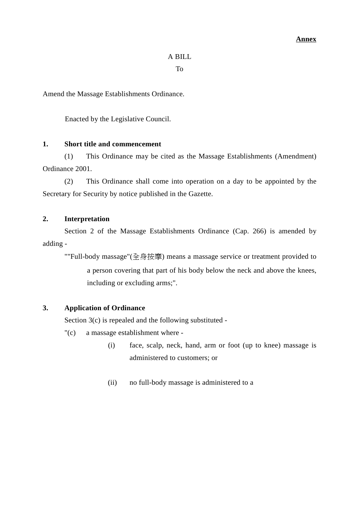#### A BILL

To

Amend the Massage Establishments Ordinance.

Enacted by the Legislative Council.

### **1. Short title and commencement**

(1) This Ordinance may be cited as the Massage Establishments (Amendment) Ordinance 2001.

(2) This Ordinance shall come into operation on a day to be appointed by the Secretary for Security by notice published in the Gazette.

#### **2. Interpretation**

Section 2 of the Massage Establishments Ordinance (Cap. 266) is amended by adding -

""Full-body massage"(全身按摩) means a massage service or treatment provided to a person covering that part of his body below the neck and above the knees, including or excluding arms;".

### **3. Application of Ordinance**

Section 3(c) is repealed and the following substituted -

- "(c) a massage establishment where
	- (i) face, scalp, neck, hand, arm or foot (up to knee) massage is administered to customers; or
	- (ii) no full-body massage is administered to a